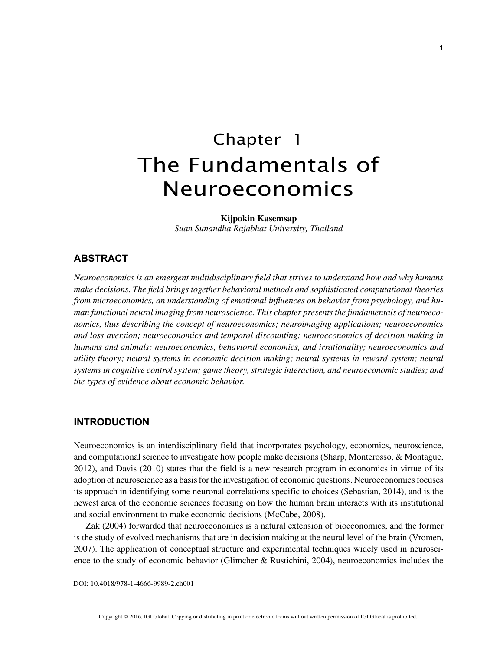# Chapter 1 The Fundamentals of Neuroeconomics

**Kijpokin Kasemsap**

*Suan Sunandha Rajabhat University, Thailand*

# **ABSTRACT**

*Neuroeconomics is an emergent multidisciplinary field that strives to understand how and why humans make decisions. The field brings together behavioral methods and sophisticated computational theories from microeconomics, an understanding of emotional influences on behavior from psychology, and human functional neural imaging from neuroscience. This chapter presents the fundamentals of neuroeconomics, thus describing the concept of neuroeconomics; neuroimaging applications; neuroeconomics and loss aversion; neuroeconomics and temporal discounting; neuroeconomics of decision making in humans and animals; neuroeconomics, behavioral economics, and irrationality; neuroeconomics and utility theory; neural systems in economic decision making; neural systems in reward system; neural systems in cognitive control system; game theory, strategic interaction, and neuroeconomic studies; and the types of evidence about economic behavior.*

# **INTRODUCTION**

Neuroeconomics is an interdisciplinary field that incorporates psychology, economics, neuroscience, and computational science to investigate how people make decisions (Sharp, Monterosso, & Montague, 2012), and Davis (2010) states that the field is a new research program in economics in virtue of its adoption of neuroscience as a basis for the investigation of economic questions. Neuroeconomics focuses its approach in identifying some neuronal correlations specific to choices (Sebastian, 2014), and is the newest area of the economic sciences focusing on how the human brain interacts with its institutional and social environment to make economic decisions (McCabe, 2008).

Zak (2004) forwarded that neuroeconomics is a natural extension of bioeconomics, and the former is the study of evolved mechanisms that are in decision making at the neural level of the brain (Vromen, 2007). The application of conceptual structure and experimental techniques widely used in neuroscience to the study of economic behavior (Glimcher & Rustichini, 2004), neuroeconomics includes the

DOI: 10.4018/978-1-4666-9989-2.ch001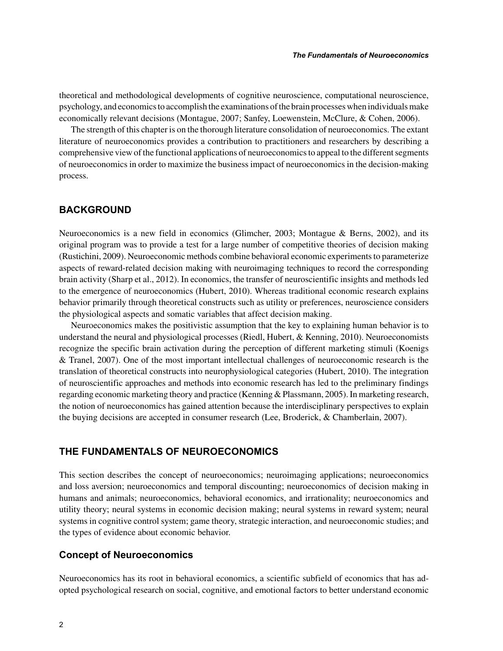theoretical and methodological developments of cognitive neuroscience, computational neuroscience, psychology, and economics to accomplish the examinations of the brain processes when individuals make economically relevant decisions (Montague, 2007; Sanfey, Loewenstein, McClure, & Cohen, 2006).

The strength of this chapter is on the thorough literature consolidation of neuroeconomics. The extant literature of neuroeconomics provides a contribution to practitioners and researchers by describing a comprehensive view of the functional applications of neuroeconomics to appeal to the different segments of neuroeconomics in order to maximize the business impact of neuroeconomics in the decision-making process.

## **BACKGROUND**

Neuroeconomics is a new field in economics (Glimcher, 2003; Montague & Berns, 2002), and its original program was to provide a test for a large number of competitive theories of decision making (Rustichini, 2009). Neuroeconomic methods combine behavioral economic experiments to parameterize aspects of reward-related decision making with neuroimaging techniques to record the corresponding brain activity (Sharp et al., 2012). In economics, the transfer of neuroscientific insights and methods led to the emergence of neuroeconomics (Hubert, 2010). Whereas traditional economic research explains behavior primarily through theoretical constructs such as utility or preferences, neuroscience considers the physiological aspects and somatic variables that affect decision making.

Neuroeconomics makes the positivistic assumption that the key to explaining human behavior is to understand the neural and physiological processes (Riedl, Hubert, & Kenning, 2010). Neuroeconomists recognize the specific brain activation during the perception of different marketing stimuli (Koenigs & Tranel, 2007). One of the most important intellectual challenges of neuroeconomic research is the translation of theoretical constructs into neurophysiological categories (Hubert, 2010). The integration of neuroscientific approaches and methods into economic research has led to the preliminary findings regarding economic marketing theory and practice (Kenning & Plassmann, 2005). In marketing research, the notion of neuroeconomics has gained attention because the interdisciplinary perspectives to explain the buying decisions are accepted in consumer research (Lee, Broderick, & Chamberlain, 2007).

## **THE FUNDAMENTALS OF NEUROECONOMICS**

This section describes the concept of neuroeconomics; neuroimaging applications; neuroeconomics and loss aversion; neuroeconomics and temporal discounting; neuroeconomics of decision making in humans and animals; neuroeconomics, behavioral economics, and irrationality; neuroeconomics and utility theory; neural systems in economic decision making; neural systems in reward system; neural systems in cognitive control system; game theory, strategic interaction, and neuroeconomic studies; and the types of evidence about economic behavior.

## **Concept of Neuroeconomics**

Neuroeconomics has its root in behavioral economics, a scientific subfield of economics that has adopted psychological research on social, cognitive, and emotional factors to better understand economic